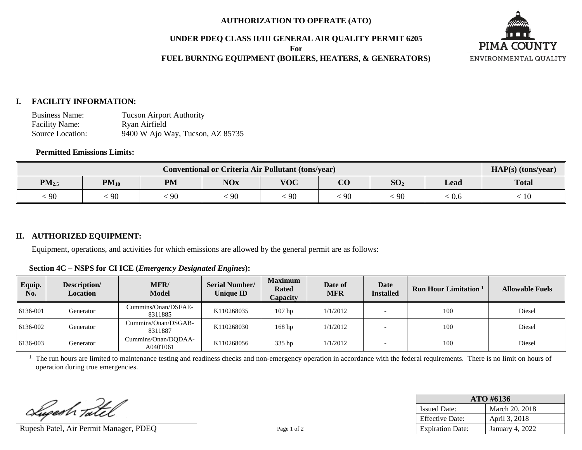#### **AUTHORIZATION TO OPERATE (ATO)**

#### **UNDER PDEQ CLASS II/III GENERAL AIR QUALITY PERMIT 6205**

**For**

## **FUEL BURNING EQUIPMENT (BOILERS, HEATERS, & GENERATORS)**



#### **I. FACILITY INFORMATION:**

Business Name: Tucson Airport Authority<br>Facility Name: Ryan Airfield Facility Name: Source Location: 9400 W Ajo Way, Tucson, AZ 85735

## **Permitted Emissions Limits:**

| <b>Conventional or Criteria Air Pollutant (tons/year)</b> |           |           |            |            |          | $HAP(s)$ (tons/year) |       |              |
|-----------------------------------------------------------|-----------|-----------|------------|------------|----------|----------------------|-------|--------------|
| $PM_{2.5}$                                                | $PM_{10}$ | <b>PM</b> | <b>NOx</b> | <b>VOC</b> | $\bf CO$ | SO <sub>2</sub>      | Lead  | <b>Total</b> |
| $\zeta 90$                                                | 90        | -90       | 90         | $\cdot$ 90 | 90       | 90                   | : 0.6 | 10           |

## **II. AUTHORIZED EQUIPMENT:**

Equipment, operations, and activities for which emissions are allowed by the general permit are as follows:

**Section 4C – NSPS for CI ICE (***Emergency Designated Engines***):**

| Equip.<br>No. | Description/<br><b>Location</b> | <b>MFR/</b><br><b>Model</b>     | <b>Serial Number/</b><br><b>Unique ID</b> | <b>Maximum</b><br><b>Rated</b><br>Capacity | Date of<br>MFR | Date<br><b>Installed</b> | <b>Run Hour Limitation</b> | <b>Allowable Fuels</b> |
|---------------|---------------------------------|---------------------------------|-------------------------------------------|--------------------------------------------|----------------|--------------------------|----------------------------|------------------------|
| 6136-001      | Generator                       | Cummins/Onan/DSFAE-<br>8311885  | K110268035                                | $107$ hp                                   | 1/1/2012       |                          | 100                        | Diesel                 |
| 6136-002      | Generator                       | Cummins/Onan/DSGAB-<br>8311887  | K110268030                                | 168 <sub>hp</sub>                          | 1/1/2012       |                          | 100                        | Diesel                 |
| 6136-003      | Generator                       | Cummins/Onan/DQDAA-<br>A040T061 | K110268056                                | 335 hp                                     | 1/1/2012       |                          | 100                        | Diesel                 |

<sup>1.</sup> The run hours are limited to maintenance testing and readiness checks and non-emergency operation in accordance with the federal requirements. There is no limit on hours of operation during true emergencies.

Lupesh Tatel

Rupesh Patel, Air Permit Manager, PDEQ Page 1 of 2

| $ATO$ #6136             |                 |  |  |
|-------------------------|-----------------|--|--|
| <b>Issued Date:</b>     | March 20, 2018  |  |  |
| <b>Effective Date:</b>  | April 3, 2018   |  |  |
| <b>Expiration Date:</b> | January 4, 2022 |  |  |